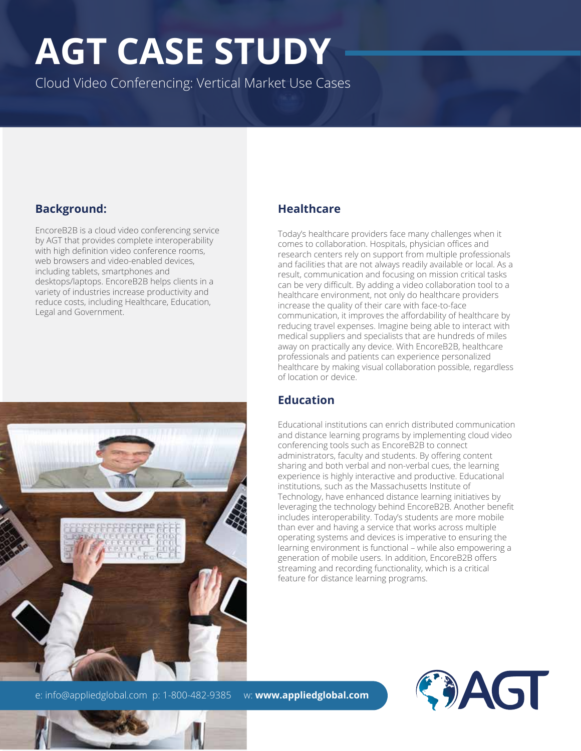# **AGT CASE STUDY**

Cloud Video Conferencing: Vertical Market Use Cases

#### **Background:**

EncoreB2B is a cloud video conferencing service by AGT that provides complete interoperability with high definition video conference rooms, web browsers and video-enabled devices, including tablets, smartphones and desktops/laptops. EncoreB2B helps clients in a variety of industries increase productivity and reduce costs, including Healthcare, Education, Legal and Government.



#### **Healthcare**

Today's healthcare providers face many challenges when it comes to collaboration. Hospitals, physician offices and research centers rely on support from multiple professionals and facilities that are not always readily available or local. As a result, communication and focusing on mission critical tasks can be very difficult. By adding a video collaboration tool to a healthcare environment, not only do healthcare providers increase the quality of their care with face-to-face communication, it improves the affordability of healthcare by reducing travel expenses. Imagine being able to interact with medical suppliers and specialists that are hundreds of miles away on practically any device. With EncoreB2B, healthcare professionals and patients can experience personalized healthcare by making visual collaboration possible, regardless of location or device.

#### **Education**

Educational institutions can enrich distributed communication and distance learning programs by implementing cloud video conferencing tools such as EncoreB2B to connect administrators, faculty and students. By offering content sharing and both verbal and non-verbal cues, the learning experience is highly interactive and productive. Educational institutions, such as the Massachusetts Institute of Technology, have enhanced distance learning initiatives by leveraging the technology behind EncoreB2B. Another benefit includes interoperability. Today's students are more mobile than ever and having a service that works across multiple operating systems and devices is imperative to ensuring the learning environment is functional – while also empowering a generation of mobile users. In addition, EncoreB2B offers streaming and recording functionality, which is a critical feature for distance learning programs.

CAGT

e: info@appliedglobal.com p: 1-800-482-9385 w: **www.appliedglobal.com**